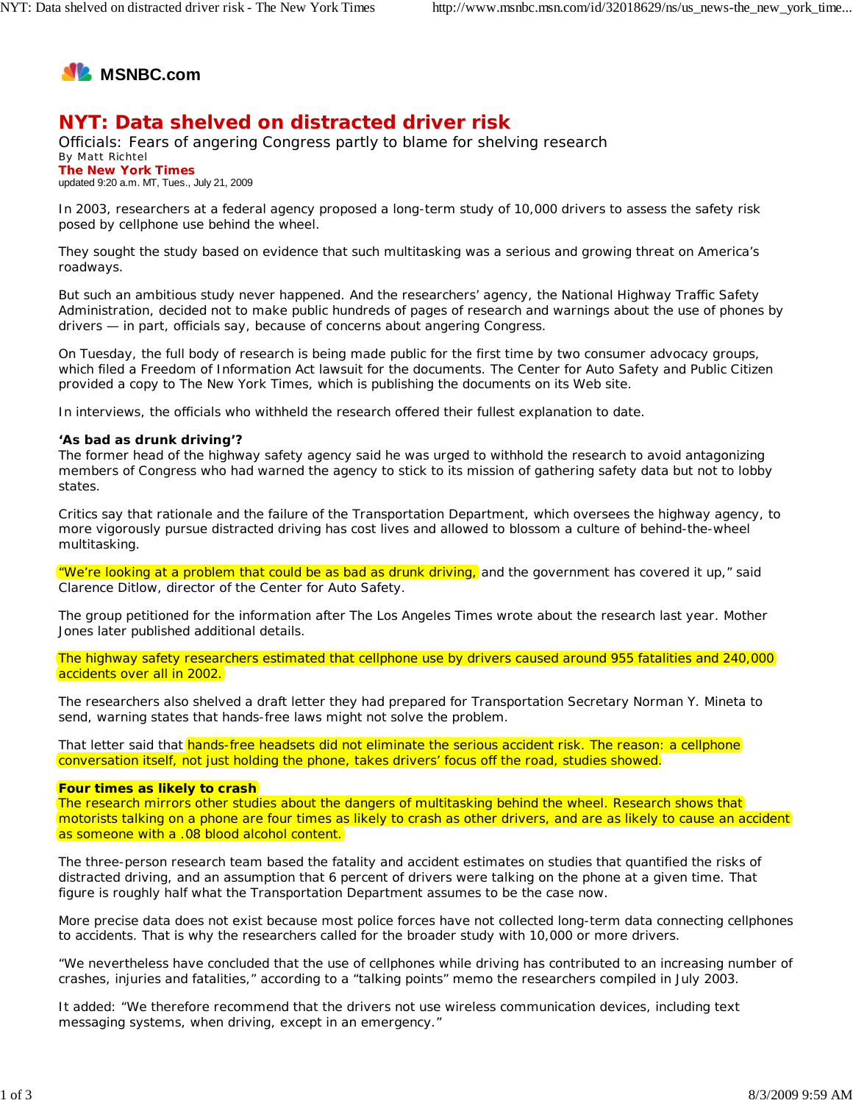

## **NYT: Data shelved on distracted driver risk**

Officials: Fears of angering Congress partly to blame for shelving research By Matt Richtel **The New York Times** updated 9:20 a.m. MT, Tues., July 21, 2009

In 2003, researchers at a federal agency proposed a long-term study of 10,000 drivers to assess the safety risk posed by cellphone use behind the wheel.

They sought the study based on evidence that such multitasking was a serious and growing threat on America's roadways.

But such an ambitious study never happened. And the researchers' agency, the National Highway Traffic Safety Administration, decided not to make public hundreds of pages of research and warnings about the use of phones by drivers — in part, officials say, because of concerns about angering Congress.

On Tuesday, the full body of research is being made public for the first time by two consumer advocacy groups, which filed a Freedom of Information Act lawsuit for the documents. The Center for Auto Safety and Public Citizen provided a copy to The New York Times, which is publishing the documents on its Web site.

In interviews, the officials who withheld the research offered their fullest explanation to date.

## **'As bad as drunk driving'?**

The former head of the highway safety agency said he was urged to withhold the research to avoid antagonizing members of Congress who had warned the agency to stick to its mission of gathering safety data but not to lobby states.

Critics say that rationale and the failure of the Transportation Department, which oversees the highway agency, to more vigorously pursue distracted driving has cost lives and allowed to blossom a culture of behind-the-wheel multitasking.

"We're looking at a problem that could be as bad as drunk driving, and the government has covered it up," said Clarence Ditlow, director of the Center for Auto Safety.

The group petitioned for the information after The Los Angeles Times wrote about the research last year. Mother Jones later published additional details.

The highway safety researchers estimated that cellphone use by drivers caused around 955 fatalities and 240,000 accidents over all in 2002.

The researchers also shelved a draft letter they had prepared for Transportation Secretary Norman Y. Mineta to send, warning states that hands-free laws might not solve the problem.

That letter said that hands-free headsets did not eliminate the serious accident risk. The reason: a cellphone conversation itself, not just holding the phone, takes drivers' focus off the road, studies showed.

## **Four times as likely to crash**

The research mirrors other studies about the dangers of multitasking behind the wheel. Research shows that motorists talking on a phone are four times as likely to crash as other drivers, and are as likely to cause an accident as someone with a .08 blood alcohol content.

The three-person research team based the fatality and accident estimates on studies that quantified the risks of distracted driving, and an assumption that 6 percent of drivers were talking on the phone at a given time. That figure is roughly half what the Transportation Department assumes to be the case now.

More precise data does not exist because most police forces have not collected long-term data connecting cellphones to accidents. That is why the researchers called for the broader study with 10,000 or more drivers.

"We nevertheless have concluded that the use of cellphones while driving has contributed to an increasing number of crashes, injuries and fatalities," according to a "talking points" memo the researchers compiled in July 2003.

It added: "We therefore recommend that the drivers not use wireless communication devices, including text messaging systems, when driving, except in an emergency."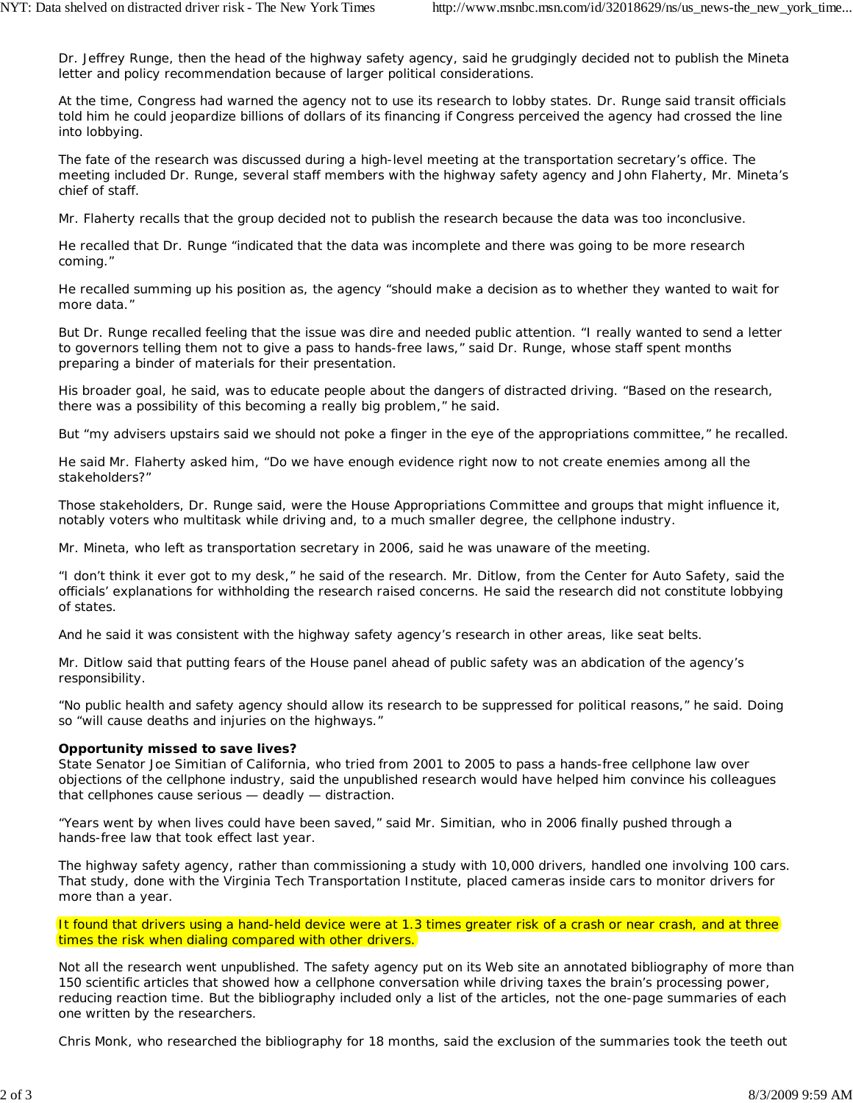Dr. Jeffrey Runge, then the head of the highway safety agency, said he grudgingly decided not to publish the Mineta letter and policy recommendation because of larger political considerations.

At the time, Congress had warned the agency not to use its research to lobby states. Dr. Runge said transit officials told him he could jeopardize billions of dollars of its financing if Congress perceived the agency had crossed the line into lobbying.

The fate of the research was discussed during a high-level meeting at the transportation secretary's office. The meeting included Dr. Runge, several staff members with the highway safety agency and John Flaherty, Mr. Mineta's chief of staff.

Mr. Flaherty recalls that the group decided not to publish the research because the data was too inconclusive.

He recalled that Dr. Runge "indicated that the data was incomplete and there was going to be more research coming."

He recalled summing up his position as, the agency "should make a decision as to whether they wanted to wait for more data."

But Dr. Runge recalled feeling that the issue was dire and needed public attention. "I really wanted to send a letter to governors telling them not to give a pass to hands-free laws," said Dr. Runge, whose staff spent months preparing a binder of materials for their presentation.

His broader goal, he said, was to educate people about the dangers of distracted driving. "Based on the research, there was a possibility of this becoming a really big problem," he said.

But "my advisers upstairs said we should not poke a finger in the eye of the appropriations committee," he recalled.

He said Mr. Flaherty asked him, "Do we have enough evidence right now to not create enemies among all the stakeholders?"

Those stakeholders, Dr. Runge said, were the House Appropriations Committee and groups that might influence it, notably voters who multitask while driving and, to a much smaller degree, the cellphone industry.

Mr. Mineta, who left as transportation secretary in 2006, said he was unaware of the meeting.

"I don't think it ever got to my desk," he said of the research. Mr. Ditlow, from the Center for Auto Safety, said the officials' explanations for withholding the research raised concerns. He said the research did not constitute lobbying of states.

And he said it was consistent with the highway safety agency's research in other areas, like seat belts.

Mr. Ditlow said that putting fears of the House panel ahead of public safety was an abdication of the agency's responsibility.

"No public health and safety agency should allow its research to be suppressed for political reasons," he said. Doing so "will cause deaths and injuries on the highways."

## **Opportunity missed to save lives?**

State Senator Joe Simitian of California, who tried from 2001 to 2005 to pass a hands-free cellphone law over objections of the cellphone industry, said the unpublished research would have helped him convince his colleagues that cellphones cause serious — deadly — distraction.

"Years went by when lives could have been saved," said Mr. Simitian, who in 2006 finally pushed through a hands-free law that took effect last year.

The highway safety agency, rather than commissioning a study with 10,000 drivers, handled one involving 100 cars. That study, done with the Virginia Tech Transportation Institute, placed cameras inside cars to monitor drivers for more than a year.

It found that drivers using a hand-held device were at 1.3 times greater risk of a crash or near crash, and at three times the risk when dialing compared with other drivers.

Not all the research went unpublished. The safety agency put on its Web site an annotated bibliography of more than 150 scientific articles that showed how a cellphone conversation while driving taxes the brain's processing power, reducing reaction time. But the bibliography included only a list of the articles, not the one-page summaries of each one written by the researchers.

Chris Monk, who researched the bibliography for 18 months, said the exclusion of the summaries took the teeth out